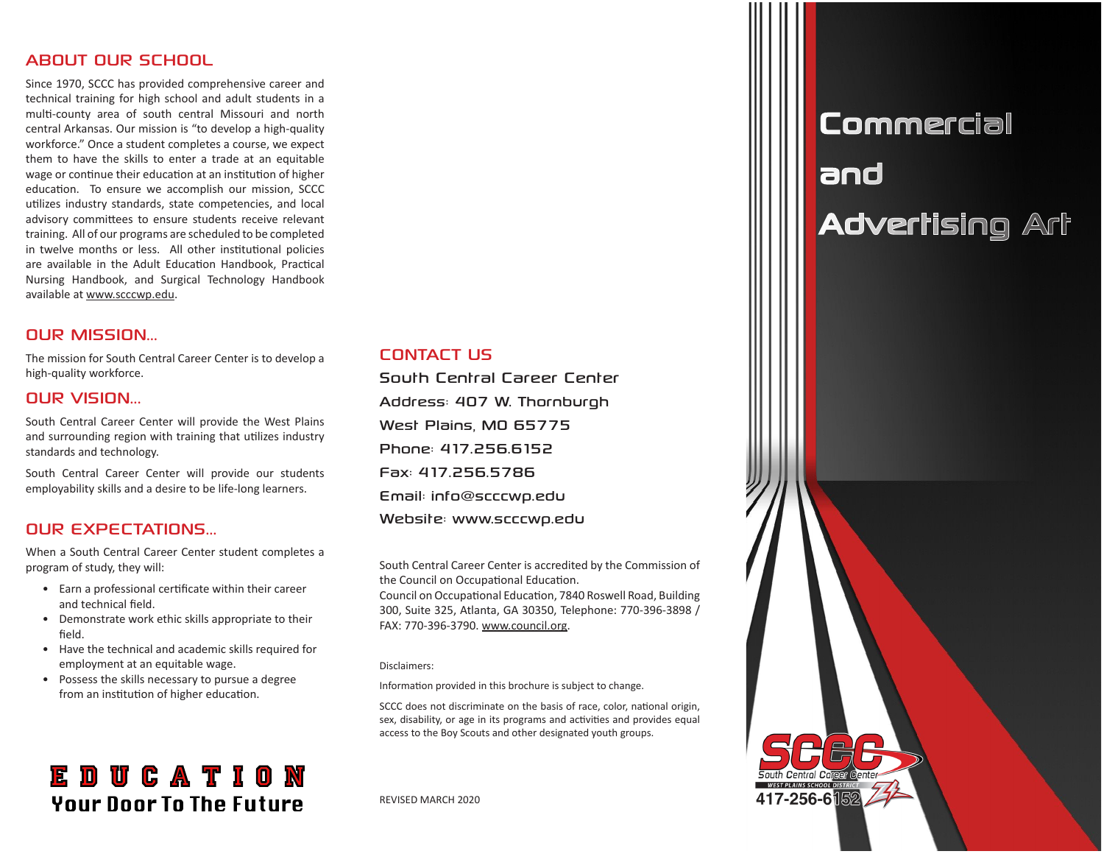# ABOUT OUR SCHOOL

Since 1970, SCCC has provided comprehensive career and technical training for high school and adult students in a multi-county area of south central Missouri and north central Arkansas. Our mission is "to develop a high-quality workforce." Once a student completes a course, we expect them to have the skills to enter a trade at an equitable wage or continue their education at an institution of higher education. To ensure we accomplish our mission, SCCC utilizes industry standards, state competencies, and local advisory committees to ensure students receive relevant training. All of our programs are scheduled to be completed in twelve months or less. All other institutional policies are available in the Adult Education Handbook, Practical Nursing Handbook, and Surgical Technology Handbook available at www.scccwp.edu.

# OUR MISSION...

The mission for South Central Career Center is to develop a high-quality workforce.

# OUR VISION...

South Central Career Center will provide the West Plains and surrounding region with training that utilizes industry standards and technology.

South Central Career Center will provide our students employability skills and a desire to be life-long learners.

# OUR EXPECTATIONS...

When a South Central Career Center student completes a program of study, they will:

- Earn a professional certificate within their career and technical field.
- Demonstrate work ethic skills appropriate to their field.
- Have the technical and academic skills required for employment at an equitable wage.
- Possess the skills necessary to pursue a degree from an institution of higher education.

# **EDUCATION Your Door To The Future**

# CONTACT US

South Central Career Center Address: 407 W. Thornburgh West Plains, MO 65775 Phone: 417.256.6152 Fax: 417.256.5786 Email: info@scccwp.edu Website: www.scccwp.edu

South Central Career Center is accredited by the Commission of the Council on Occupational Education.

Council on Occupational Education, 7840 Roswell Road, Building 300, Suite 325, Atlanta, GA 30350, Telephone: 770-396-3898 / FAX: 770-396-3790. www.council.org.

#### Disclaimers:

Information provided in this brochure is subject to change.

SCCC does not discriminate on the basis of race, color, national origin, sex, disability, or age in its programs and activities and provides equal access to the Boy Scouts and other designated youth groups.

REVISED MARCH 2020

# **Commercial** and Advertising Art

417-256-6隔2